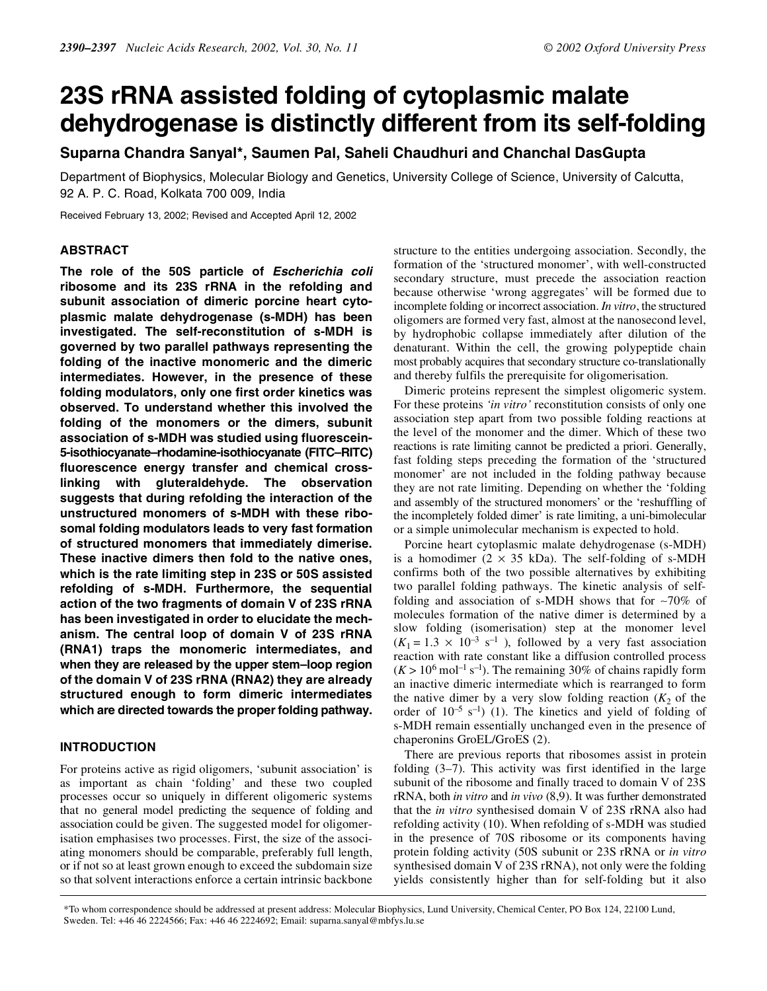# **23S rRNA assisted folding of cytoplasmic malate dehydrogenase is distinctly different from its self-folding**

## **Suparna Chandra Sanyal\*, Saumen Pal, Saheli Chaudhuri and Chanchal DasGupta**

Department of Biophysics, Molecular Biology and Genetics, University College of Science, University of Calcutta, 92 A. P. C. Road, Kolkata 700 009, India

Received February 13, 2002; Revised and Accepted April 12, 2002

## **ABSTRACT**

**The role of the 50S particle of Escherichia coli ribosome and its 23S rRNA in the refolding and subunit association of dimeric porcine heart cytoplasmic malate dehydrogenase (s-MDH) has been investigated. The self-reconstitution of s-MDH is governed by two parallel pathways representing the folding of the inactive monomeric and the dimeric intermediates. However, in the presence of these folding modulators, only one first order kinetics was observed. To understand whether this involved the folding of the monomers or the dimers, subunit association of s-MDH was studied using fluorescein-5-isothiocyanate–rhodamine-isothiocyanate (FITC–RITC) fluorescence energy transfer and chemical crosslinking with gluteraldehyde. The observation suggests that during refolding the interaction of the unstructured monomers of s-MDH with these ribosomal folding modulators leads to very fast formation of structured monomers that immediately dimerise. These inactive dimers then fold to the native ones, which is the rate limiting step in 23S or 50S assisted refolding of s-MDH. Furthermore, the sequential action of the two fragments of domain V of 23S rRNA has been investigated in order to elucidate the mechanism. The central loop of domain V of 23S rRNA (RNA1) traps the monomeric intermediates, and when they are released by the upper stem–loop region of the domain V of 23S rRNA (RNA2) they are already structured enough to form dimeric intermediates which are directed towards the proper folding pathway.**

## **INTRODUCTION**

For proteins active as rigid oligomers, 'subunit association' is as important as chain 'folding' and these two coupled processes occur so uniquely in different oligomeric systems that no general model predicting the sequence of folding and association could be given. The suggested model for oligomerisation emphasises two processes. First, the size of the associating monomers should be comparable, preferably full length, or if not so at least grown enough to exceed the subdomain size so that solvent interactions enforce a certain intrinsic backbone

structure to the entities undergoing association. Secondly, the formation of the 'structured monomer', with well-constructed secondary structure, must precede the association reaction because otherwise 'wrong aggregates' will be formed due to incomplete folding or incorrect association. *In vitro*, the structured oligomers are formed very fast, almost at the nanosecond level, by hydrophobic collapse immediately after dilution of the denaturant. Within the cell, the growing polypeptide chain most probably acquires that secondary structure co-translationally and thereby fulfils the prerequisite for oligomerisation.

Dimeric proteins represent the simplest oligomeric system. For these proteins *'in vitro'* reconstitution consists of only one association step apart from two possible folding reactions at the level of the monomer and the dimer. Which of these two reactions is rate limiting cannot be predicted a priori. Generally, fast folding steps preceding the formation of the 'structured monomer' are not included in the folding pathway because they are not rate limiting. Depending on whether the 'folding and assembly of the structured monomers' or the 'reshuffling of the incompletely folded dimer' is rate limiting, a uni-bimolecular or a simple unimolecular mechanism is expected to hold.

Porcine heart cytoplasmic malate dehydrogenase (s-MDH) is a homodimer  $(2 \times 35 \text{ kDa})$ . The self-folding of s-MDH confirms both of the two possible alternatives by exhibiting two parallel folding pathways. The kinetic analysis of selffolding and association of s-MDH shows that for ∼70% of molecules formation of the native dimer is determined by a slow folding (isomerisation) step at the monomer level  $(K_1 = 1.3 \times 10^{-3} \text{ s}^{-1})$ , followed by a very fast association reaction with rate constant like a diffusion controlled process  $(K > 10^6 \,\mathrm{mol}^{-1} \,\mathrm{s}^{-1})$ . The remaining 30% of chains rapidly form an inactive dimeric intermediate which is rearranged to form the native dimer by a very slow folding reaction  $(K_2)$  of the order of  $10^{-5}$  s<sup>-1</sup>) (1). The kinetics and yield of folding of s-MDH remain essentially unchanged even in the presence of chaperonins GroEL/GroES (2).

There are previous reports that ribosomes assist in protein folding (3–7). This activity was first identified in the large subunit of the ribosome and finally traced to domain V of 23S rRNA, both *in vitro* and *in vivo* (8,9). It was further demonstrated that the *in vitro* synthesised domain V of 23S rRNA also had refolding activity (10). When refolding of s-MDH was studied in the presence of 70S ribosome or its components having protein folding activity (50S subunit or 23S rRNA or *in vitro* synthesised domain V of 23S rRNA), not only were the folding yields consistently higher than for self-folding but it also

\*To whom correspondence should be addressed at present address: Molecular Biophysics, Lund University, Chemical Center, PO Box 124, 22100 Lund, Sweden. Tel: +46 46 2224566; Fax: +46 46 2224692; Email: suparna.sanyal@mbfys.lu.se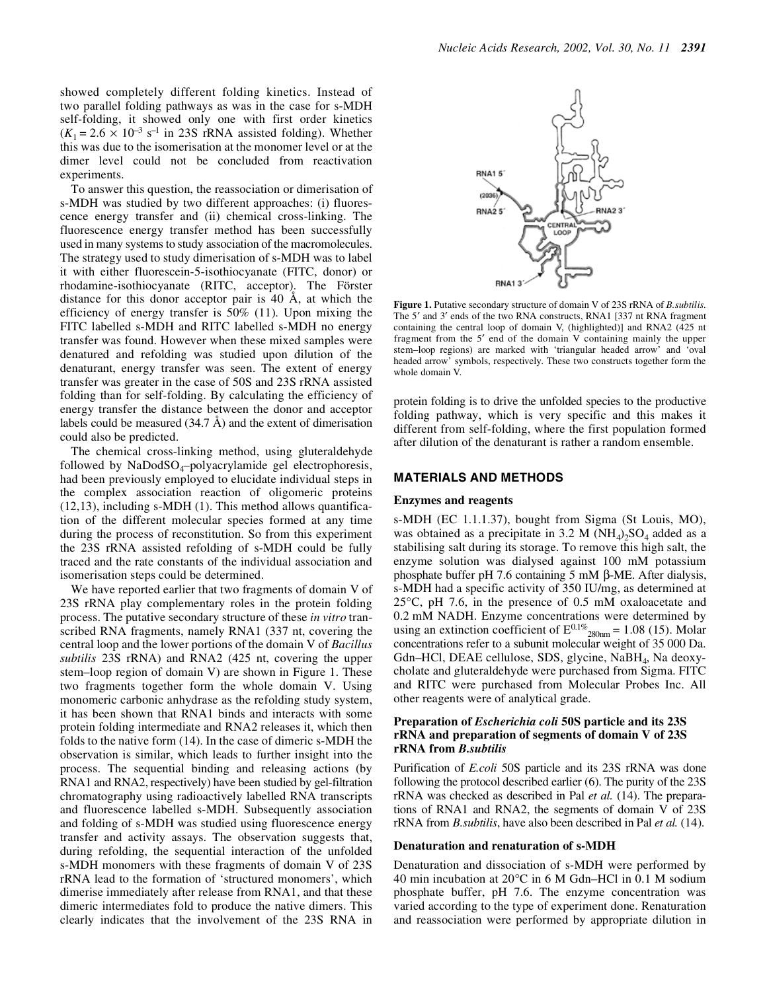showed completely different folding kinetics. Instead of two parallel folding pathways as was in the case for s-MDH self-folding, it showed only one with first order kinetics  $(K_1 = 2.6 \times 10^{-3} \text{ s}^{-1}$  in 23S rRNA assisted folding). Whether this was due to the isomerisation at the monomer level or at the dimer level could not be concluded from reactivation experiments.

To answer this question, the reassociation or dimerisation of s-MDH was studied by two different approaches: (i) fluorescence energy transfer and (ii) chemical cross-linking. The fluorescence energy transfer method has been successfully used in many systems to study association of the macromolecules. The strategy used to study dimerisation of s-MDH was to label it with either fluorescein-5-isothiocyanate (FITC, donor) or rhodamine-isothiocyanate (RITC, acceptor). The Förster distance for this donor acceptor pair is 40 Å, at which the efficiency of energy transfer is 50% (11). Upon mixing the FITC labelled s-MDH and RITC labelled s-MDH no energy transfer was found. However when these mixed samples were denatured and refolding was studied upon dilution of the denaturant, energy transfer was seen. The extent of energy transfer was greater in the case of 50S and 23S rRNA assisted folding than for self-folding. By calculating the efficiency of energy transfer the distance between the donor and acceptor labels could be measured (34.7 Å) and the extent of dimerisation could also be predicted.

The chemical cross-linking method, using gluteraldehyde followed by  $NaDodSO<sub>4</sub>$ –polyacrylamide gel electrophoresis, had been previously employed to elucidate individual steps in the complex association reaction of oligomeric proteins (12,13), including s-MDH (1). This method allows quantification of the different molecular species formed at any time during the process of reconstitution. So from this experiment the 23S rRNA assisted refolding of s-MDH could be fully traced and the rate constants of the individual association and isomerisation steps could be determined.

We have reported earlier that two fragments of domain V of 23S rRNA play complementary roles in the protein folding process. The putative secondary structure of these *in vitro* transcribed RNA fragments, namely RNA1 (337 nt, covering the central loop and the lower portions of the domain V of *Bacillus subtilis* 23S rRNA) and RNA2 (425 nt, covering the upper stem–loop region of domain V) are shown in Figure 1. These two fragments together form the whole domain V. Using monomeric carbonic anhydrase as the refolding study system, it has been shown that RNA1 binds and interacts with some protein folding intermediate and RNA2 releases it, which then folds to the native form (14). In the case of dimeric s-MDH the observation is similar, which leads to further insight into the process. The sequential binding and releasing actions (by RNA1 and RNA2, respectively) have been studied by gel-filtration chromatography using radioactively labelled RNA transcripts and fluorescence labelled s-MDH. Subsequently association and folding of s-MDH was studied using fluorescence energy transfer and activity assays. The observation suggests that, during refolding, the sequential interaction of the unfolded s-MDH monomers with these fragments of domain V of 23S rRNA lead to the formation of 'structured monomers', which dimerise immediately after release from RNA1, and that these dimeric intermediates fold to produce the native dimers. This clearly indicates that the involvement of the 23S RNA in



**Figure 1.** Putative secondary structure of domain V of 23S rRNA of *B.subtilis.* The 5′ and 3′ ends of the two RNA constructs, RNA1 [337 nt RNA fragment containing the central loop of domain V, (highlighted)] and RNA2 (425 nt fragment from the 5′ end of the domain V containing mainly the upper stem–loop regions) are marked with 'triangular headed arrow' and 'oval headed arrow' symbols, respectively. These two constructs together form the whole domain V.

protein folding is to drive the unfolded species to the productive folding pathway, which is very specific and this makes it different from self-folding, where the first population formed after dilution of the denaturant is rather a random ensemble.

## **MATERIALS AND METHODS**

#### **Enzymes and reagents**

s-MDH (EC 1.1.1.37), bought from Sigma (St Louis, MO), was obtained as a precipitate in 3.2 M  $(NH_4)_2SO_4$  added as a stabilising salt during its storage. To remove this high salt, the enzyme solution was dialysed against 100 mM potassium phosphate buffer pH 7.6 containing 5 mM β-ME. After dialysis, s-MDH had a specific activity of 350 IU/mg, as determined at 25°C, pH 7.6, in the presence of 0.5 mM oxaloacetate and 0.2 mM NADH. Enzyme concentrations were determined by using an extinction coefficient of  $E^{0.1\%}$ <sub>280nm</sub> = 1.08 (15). Molar concentrations refer to a subunit molecular weight of 35 000 Da. Gdn–HCl, DEAE cellulose, SDS, glycine, NaBH<sub>4</sub>, Na deoxycholate and gluteraldehyde were purchased from Sigma. FITC and RITC were purchased from Molecular Probes Inc. All other reagents were of analytical grade.

## **Preparation of** *Escherichia coli* **50S particle and its 23S rRNA and preparation of segments of domain V of 23S rRNA from** *B.subtilis*

Purification of *E.coli* 50S particle and its 23S rRNA was done following the protocol described earlier (6). The purity of the 23S rRNA was checked as described in Pal *et al.* (14). The preparations of RNA1 and RNA2, the segments of domain V of 23S rRNA from *B.subtilis*, have also been described in Pal *et al.* (14).

## **Denaturation and renaturation of s-MDH**

Denaturation and dissociation of s-MDH were performed by 40 min incubation at 20°C in 6 M Gdn–HCl in 0.1 M sodium phosphate buffer, pH 7.6. The enzyme concentration was varied according to the type of experiment done. Renaturation and reassociation were performed by appropriate dilution in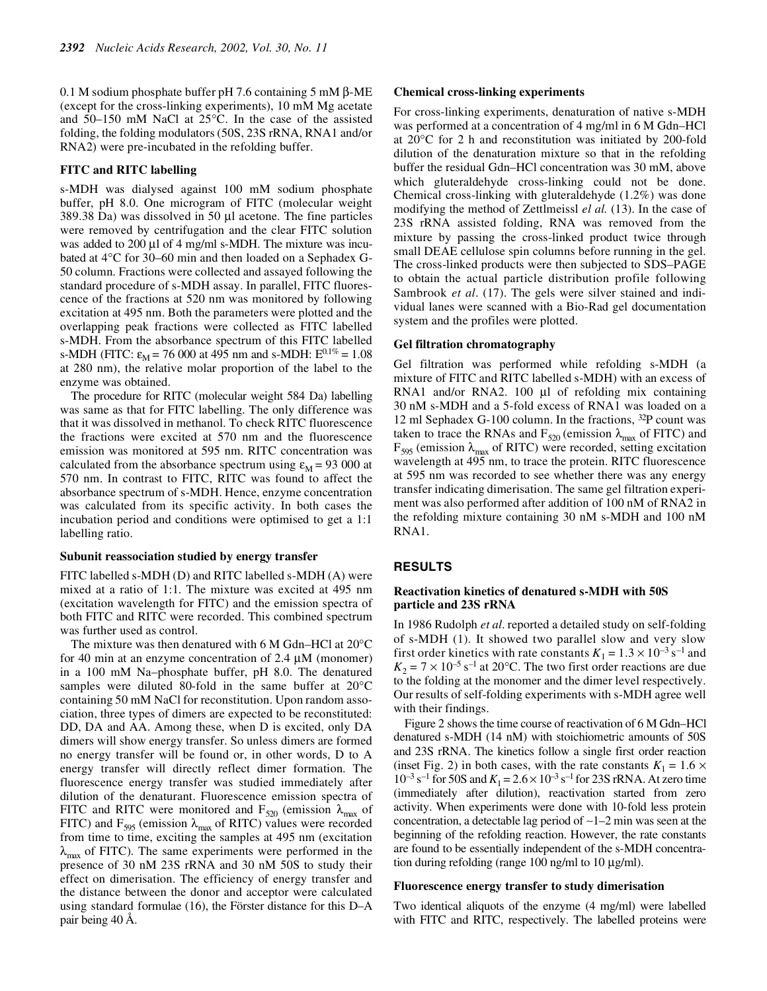0.1 M sodium phosphate buffer pH 7.6 containing 5 mM β-ME (except for the cross-linking experiments), 10 mM Mg acetate and 50–150 mM NaCl at 25°C. In the case of the assisted folding, the folding modulators (50S, 23S rRNA, RNA1 and/or RNA2) were pre-incubated in the refolding buffer.

#### **FITC and RITC labelling**

s-MDH was dialysed against 100 mM sodium phosphate buffer, pH 8.0. One microgram of FITC (molecular weight 389.38 Da) was dissolved in 50 µl acetone. The fine particles were removed by centrifugation and the clear FITC solution was added to 200 µl of 4 mg/ml s-MDH. The mixture was incubated at 4°C for 30–60 min and then loaded on a Sephadex G-50 column. Fractions were collected and assayed following the standard procedure of s-MDH assay. In parallel, FITC fluorescence of the fractions at 520 nm was monitored by following excitation at 495 nm. Both the parameters were plotted and the overlapping peak fractions were collected as FITC labelled s-MDH. From the absorbance spectrum of this FITC labelled s-MDH (FITC:  $\varepsilon_M$  = 76 000 at 495 nm and s-MDH:  $E^{0.1\%}$  = 1.08 at 280 nm), the relative molar proportion of the label to the enzyme was obtained.

The procedure for RITC (molecular weight 584 Da) labelling was same as that for FITC labelling. The only difference was that it was dissolved in methanol. To check RITC fluorescence the fractions were excited at 570 nm and the fluorescence emission was monitored at 595 nm. RITC concentration was calculated from the absorbance spectrum using  $\varepsilon_M = 93\,000$  at 570 nm. In contrast to FITC, RITC was found to affect the absorbance spectrum of s-MDH. Hence, enzyme concentration was calculated from its specific activity. In both cases the incubation period and conditions were optimised to get a 1:1 labelling ratio.

#### **Subunit reassociation studied by energy transfer**

FITC labelled s-MDH (D) and RITC labelled s-MDH (A) were mixed at a ratio of 1:1. The mixture was excited at 495 nm (excitation wavelength for FITC) and the emission spectra of both FITC and RITC were recorded. This combined spectrum was further used as control.

The mixture was then denatured with 6 M Gdn–HCl at 20°C for 40 min at an enzyme concentration of  $2.4 \mu M$  (monomer) in a 100 mM Na–phosphate buffer, pH 8.0. The denatured samples were diluted 80-fold in the same buffer at 20°C containing 50 mM NaCl for reconstitution. Upon random association, three types of dimers are expected to be reconstituted: DD, DA and AA. Among these, when D is excited, only DA dimers will show energy transfer. So unless dimers are formed no energy transfer will be found or, in other words, D to A energy transfer will directly reflect dimer formation. The fluorescence energy transfer was studied immediately after dilution of the denaturant. Fluorescence emission spectra of FITC and RITC were monitored and  $F_{520}$  (emission  $\lambda_{\text{max}}$  of FITC) and  $F_{595}$  (emission  $\lambda_{\text{max}}$  of RITC) values were recorded from time to time, exciting the samples at 495 nm (excitation  $\lambda_{\text{max}}$  of FITC). The same experiments were performed in the presence of 30 nM 23S rRNA and 30 nM 50S to study their effect on dimerisation. The efficiency of energy transfer and the distance between the donor and acceptor were calculated using standard formulae (16), the Förster distance for this D–A pair being 40 Å.

#### **Chemical cross-linking experiments**

For cross-linking experiments, denaturation of native s-MDH was performed at a concentration of 4 mg/ml in 6 M Gdn–HCl at 20°C for 2 h and reconstitution was initiated by 200-fold dilution of the denaturation mixture so that in the refolding buffer the residual Gdn–HCl concentration was 30 mM, above which gluteraldehyde cross-linking could not be done. Chemical cross-linking with gluteraldehyde (1.2%) was done modifying the method of Zettlmeissl *el al.* (13). In the case of 23S rRNA assisted folding, RNA was removed from the mixture by passing the cross-linked product twice through small DEAE cellulose spin columns before running in the gel. The cross-linked products were then subjected to SDS–PAGE to obtain the actual particle distribution profile following Sambrook *et al*. (17). The gels were silver stained and individual lanes were scanned with a Bio-Rad gel documentation system and the profiles were plotted.

#### **Gel filtration chromatography**

Gel filtration was performed while refolding s-MDH (a mixture of FITC and RITC labelled s-MDH) with an excess of RNA1 and/or RNA2. 100 µl of refolding mix containing 30 nM s-MDH and a 5-fold excess of RNA1 was loaded on a 12 ml Sephadex G-100 column. In the fractions, <sup>32</sup>P count was taken to trace the RNAs and  $F_{520}$  (emission  $\lambda_{\text{max}}$  of FITC) and  $F_{595}$  (emission  $\lambda_{\text{max}}$  of RITC) were recorded, setting excitation wavelength at 495 nm, to trace the protein. RITC fluorescence at 595 nm was recorded to see whether there was any energy transfer indicating dimerisation. The same gel filtration experiment was also performed after addition of 100 nM of RNA2 in the refolding mixture containing 30 nM s-MDH and 100 nM RNA1.

#### **RESULTS**

## **Reactivation kinetics of denatured s-MDH with 50S particle and 23S rRNA**

In 1986 Rudolph *et al*. reported a detailed study on self-folding of s-MDH (1). It showed two parallel slow and very slow first order kinetics with rate constants  $K_1 = 1.3 \times 10^{-3} \text{ s}^{-1}$  and  $K_2 = 7 \times 10^{-5}$  s<sup>-1</sup> at 20°C. The two first order reactions are due to the folding at the monomer and the dimer level respectively. Our results of self-folding experiments with s-MDH agree well with their findings.

Figure 2 shows the time course of reactivation of 6 M Gdn–HCl denatured s-MDH (14 nM) with stoichiometric amounts of 50S and 23S rRNA. The kinetics follow a single first order reaction (inset Fig. 2) in both cases, with the rate constants  $K_1 = 1.6 \times$  $10^{-3}$  s<sup>-1</sup> for 50S and  $K_1 = 2.6 \times 10^{-3}$  s<sup>-1</sup> for 23S rRNA. At zero time (immediately after dilution), reactivation started from zero activity. When experiments were done with 10-fold less protein concentration, a detectable lag period of ∼1–2 min was seen at the beginning of the refolding reaction. However, the rate constants are found to be essentially independent of the s-MDH concentration during refolding (range 100 ng/ml to 10 µg/ml).

#### **Fluorescence energy transfer to study dimerisation**

Two identical aliquots of the enzyme (4 mg/ml) were labelled with FITC and RITC, respectively. The labelled proteins were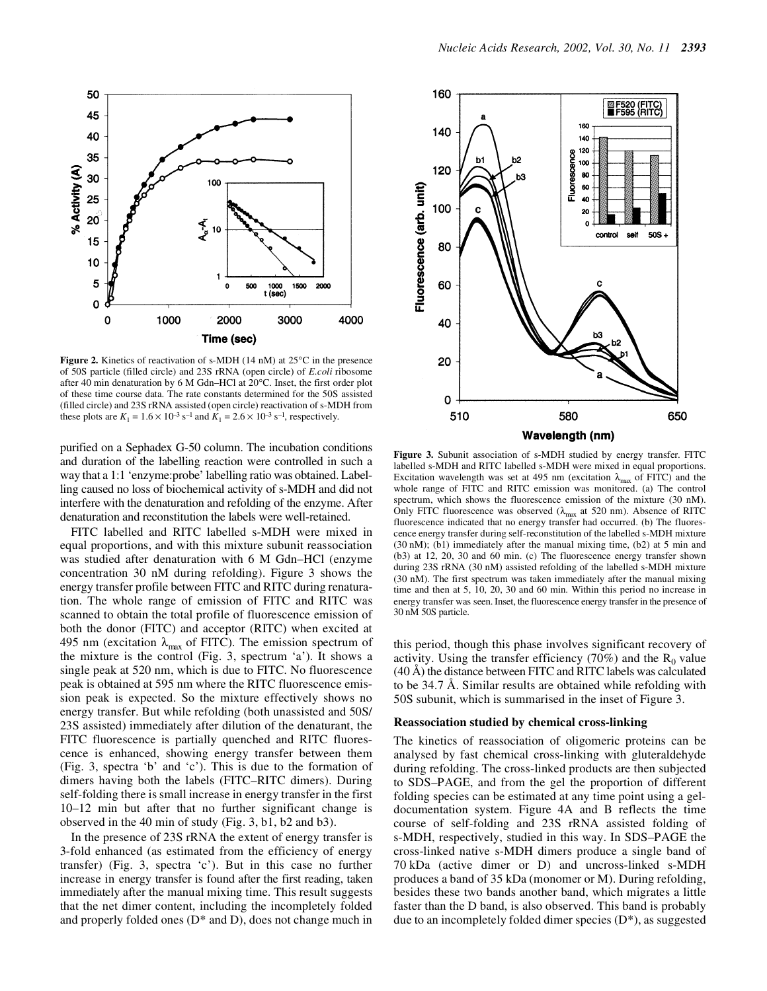

**Figure 2.** Kinetics of reactivation of s-MDH (14 nM) at 25<sup>°</sup>C in the presence of 50S particle (filled circle) and 23S rRNA (open circle) of *E.coli* ribosome after 40 min denaturation by 6 M Gdn–HCl at 20°C. Inset, the first order plot of these time course data. The rate constants determined for the 50S assisted (filled circle) and 23S rRNA assisted (open circle) reactivation of s-MDH from these plots are  $K_1 = 1.6 \times 10^{-3} \text{ s}^{-1}$  and  $K_1 = 2.6 \times 10^{-3} \text{ s}^{-1}$ , respectively.

purified on a Sephadex G-50 column. The incubation conditions and duration of the labelling reaction were controlled in such a way that a 1:1 'enzyme:probe' labelling ratio was obtained. Labelling caused no loss of biochemical activity of s-MDH and did not interfere with the denaturation and refolding of the enzyme. After denaturation and reconstitution the labels were well-retained.

FITC labelled and RITC labelled s-MDH were mixed in equal proportions, and with this mixture subunit reassociation was studied after denaturation with 6 M Gdn–HCl (enzyme concentration 30 nM during refolding). Figure 3 shows the energy transfer profile between FITC and RITC during renaturation. The whole range of emission of FITC and RITC was scanned to obtain the total profile of fluorescence emission of both the donor (FITC) and acceptor (RITC) when excited at 495 nm (excitation  $\lambda_{\text{max}}$  of FITC). The emission spectrum of the mixture is the control (Fig. 3, spectrum 'a'). It shows a single peak at 520 nm, which is due to FITC. No fluorescence peak is obtained at 595 nm where the RITC fluorescence emission peak is expected. So the mixture effectively shows no energy transfer. But while refolding (both unassisted and 50S/ 23S assisted) immediately after dilution of the denaturant, the FITC fluorescence is partially quenched and RITC fluorescence is enhanced, showing energy transfer between them (Fig. 3, spectra 'b' and 'c'). This is due to the formation of dimers having both the labels (FITC–RITC dimers). During self-folding there is small increase in energy transfer in the first 10–12 min but after that no further significant change is observed in the 40 min of study (Fig. 3, b1, b2 and b3).

In the presence of 23S rRNA the extent of energy transfer is 3-fold enhanced (as estimated from the efficiency of energy transfer) (Fig. 3, spectra 'c'). But in this case no further increase in energy transfer is found after the first reading, taken immediately after the manual mixing time. This result suggests that the net dimer content, including the incompletely folded and properly folded ones  $(D^*$  and  $D)$ , does not change much in



**Figure 3.** Subunit association of s-MDH studied by energy transfer. FITC labelled s-MDH and RITC labelled s-MDH were mixed in equal proportions. Excitation wavelength was set at 495 nm (excitation  $\lambda_{\text{max}}$  of FITC) and the whole range of FITC and RITC emission was monitored. (a) The control spectrum, which shows the fluorescence emission of the mixture (30 nM). Only FITC fluorescence was observed ( $\lambda_{\text{max}}$  at 520 nm). Absence of RITC fluorescence indicated that no energy transfer had occurred. (b) The fluorescence energy transfer during self-reconstitution of the labelled s-MDH mixture (30 nM); (b1) immediately after the manual mixing time, (b2) at 5 min and (b3) at 12, 20, 30 and 60 min. (c) The fluorescence energy transfer shown during 23S rRNA (30 nM) assisted refolding of the labelled s-MDH mixture (30 nM). The first spectrum was taken immediately after the manual mixing time and then at 5, 10, 20, 30 and 60 min. Within this period no increase in energy transfer was seen. Inset, the fluorescence energy transfer in the presence of 30 nM 50S particle.

this period, though this phase involves significant recovery of activity. Using the transfer efficiency (70%) and the  $R_0$  value (40 Å) the distance between FITC and RITC labels was calculated to be 34.7 Å. Similar results are obtained while refolding with 50S subunit, which is summarised in the inset of Figure 3.

#### **Reassociation studied by chemical cross-linking**

The kinetics of reassociation of oligomeric proteins can be analysed by fast chemical cross-linking with gluteraldehyde during refolding. The cross-linked products are then subjected to SDS–PAGE, and from the gel the proportion of different folding species can be estimated at any time point using a geldocumentation system. Figure 4A and B reflects the time course of self-folding and 23S rRNA assisted folding of s-MDH, respectively, studied in this way. In SDS–PAGE the cross-linked native s-MDH dimers produce a single band of 70 kDa (active dimer or D) and uncross-linked s-MDH produces a band of 35 kDa (monomer or M). During refolding, besides these two bands another band, which migrates a little faster than the D band, is also observed. This band is probably due to an incompletely folded dimer species  $(D^*)$ , as suggested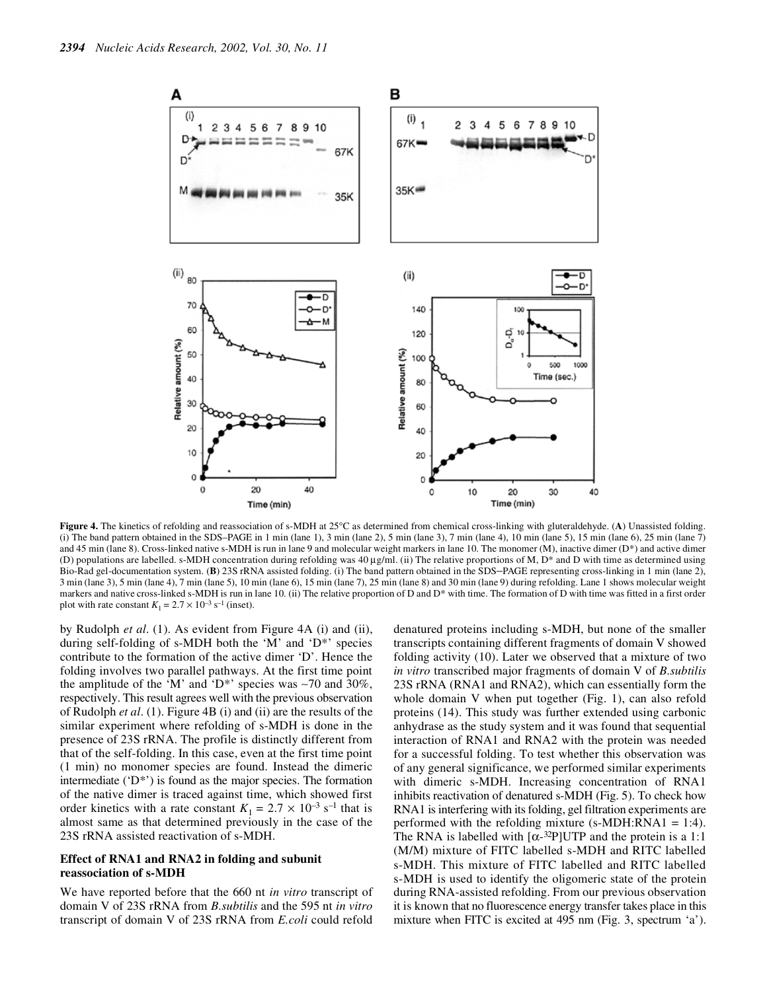

**Figure 4.** The kinetics of refolding and reassociation of s-MDH at 25°C as determined from chemical cross-linking with gluteraldehyde. (**A**) Unassisted folding. (i) The band pattern obtained in the SDS–PAGE in 1 min (lane 1), 3 min (lane 2), 5 min (lane 3), 7 min (lane 4), 10 min (lane 5), 15 min (lane 6), 25 min (lane 7) and 45 min (lane 8). Cross-linked native s-MDH is run in lane 9 and molecular weight markers in lane 10. The monomer (M), inactive dimer (D\*) and active dimer (D) populations are labelled. s-MDH concentration during refolding was 40  $\mu$ g/ml. (ii) The relative proportions of M, D\* and D with time as determined using Bio-Rad gel-documentation system. (**B**) 23S rRNA assisted folding. (i) The band pattern obtained in the SDS–PAGE representing cross-linking in 1 min (lane 2), 3 min (lane 3), 5 min (lane 4), 7 min (lane 5), 10 min (lane 6), 15 min (lane 7), 25 min (lane 8) and 30 min (lane 9) during refolding. Lane 1 shows molecular weight markers and native cross-linked s-MDH is run in lane 10. (ii) The relative proportion of D and D\* with time. The formation of D with time was fitted in a first order plot with rate constant  $K_1 = 2.7 \times 10^{-3} \text{ s}^{-1}$  (inset).

by Rudolph *et al*. (1). As evident from Figure 4A (i) and (ii), during self-folding of s-MDH both the 'M' and 'D\*' species contribute to the formation of the active dimer 'D'. Hence the folding involves two parallel pathways. At the first time point the amplitude of the 'M' and 'D\*' species was ∼70 and 30%, respectively. This result agrees well with the previous observation of Rudolph *et al*. (1). Figure 4B (i) and (ii) are the results of the similar experiment where refolding of s-MDH is done in the presence of 23S rRNA. The profile is distinctly different from that of the self-folding. In this case, even at the first time point (1 min) no monomer species are found. Instead the dimeric intermediate ('D\*') is found as the major species. The formation of the native dimer is traced against time, which showed first order kinetics with a rate constant  $K_1 = 2.7 \times 10^{-3}$  s<sup>-1</sup> that is almost same as that determined previously in the case of the 23S rRNA assisted reactivation of s-MDH.

## **Effect of RNA1 and RNA2 in folding and subunit reassociation of s-MDH**

We have reported before that the 660 nt *in vitro* transcript of domain V of 23S rRNA from *B.subtilis* and the 595 nt *in vitro* transcript of domain V of 23S rRNA from *E.coli* could refold

denatured proteins including s-MDH, but none of the smaller transcripts containing different fragments of domain V showed folding activity (10). Later we observed that a mixture of two *in vitro* transcribed major fragments of domain V of *B.subtilis* 23S rRNA (RNA1 and RNA2), which can essentially form the whole domain V when put together (Fig. 1), can also refold proteins (14). This study was further extended using carbonic anhydrase as the study system and it was found that sequential interaction of RNA1 and RNA2 with the protein was needed for a successful folding. To test whether this observation was of any general significance, we performed similar experiments with dimeric s-MDH. Increasing concentration of RNA1 inhibits reactivation of denatured s-MDH (Fig. 5). To check how RNA1 is interfering with its folding, gel filtration experiments are performed with the refolding mixture (s-MDH:RNA1 = 1:4). The RNA is labelled with  $[\alpha$ -<sup>32</sup>P]UTP and the protein is a 1:1 (M/M) mixture of FITC labelled s-MDH and RITC labelled s-MDH. This mixture of FITC labelled and RITC labelled s-MDH is used to identify the oligomeric state of the protein during RNA-assisted refolding. From our previous observation it is known that no fluorescence energy transfer takes place in this mixture when FITC is excited at 495 nm (Fig. 3, spectrum 'a').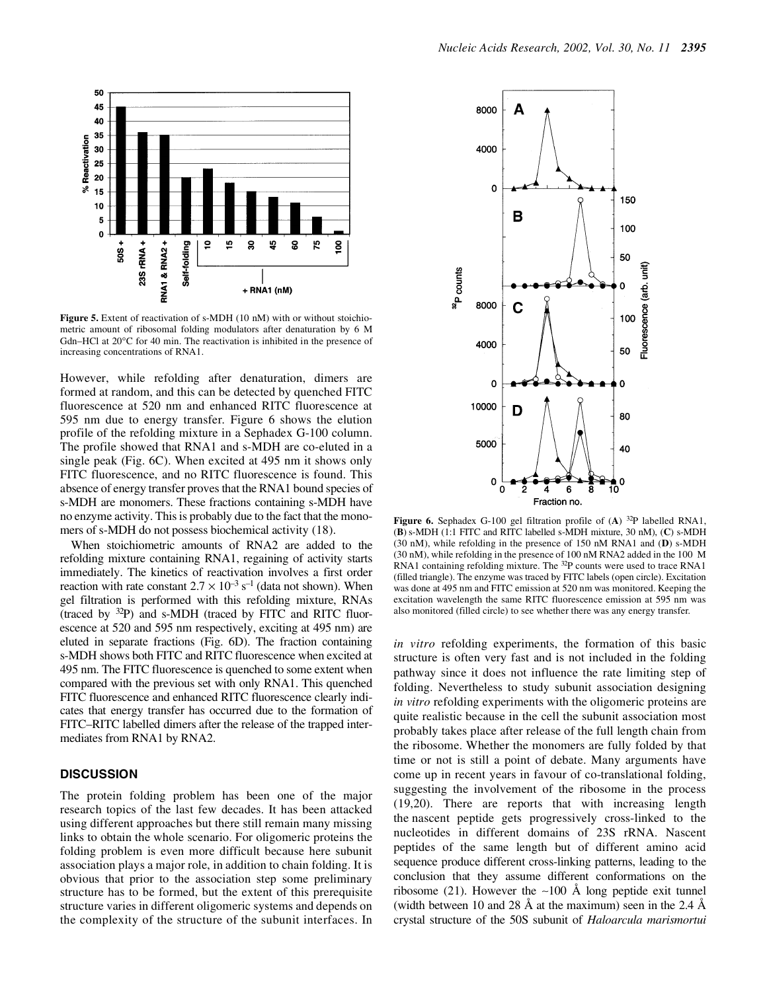

**Figure 5.** Extent of reactivation of s-MDH (10 nM) with or without stoichiometric amount of ribosomal folding modulators after denaturation by 6 M Gdn–HCl at 20°C for 40 min. The reactivation is inhibited in the presence of increasing concentrations of RNA1.

However, while refolding after denaturation, dimers are formed at random, and this can be detected by quenched FITC fluorescence at 520 nm and enhanced RITC fluorescence at 595 nm due to energy transfer. Figure 6 shows the elution profile of the refolding mixture in a Sephadex G-100 column. The profile showed that RNA1 and s-MDH are co-eluted in a single peak (Fig. 6C). When excited at 495 nm it shows only FITC fluorescence, and no RITC fluorescence is found. This absence of energy transfer proves that the RNA1 bound species of s-MDH are monomers. These fractions containing s-MDH have no enzyme activity. This is probably due to the fact that the monomers of s-MDH do not possess biochemical activity (18).

When stoichiometric amounts of RNA2 are added to the refolding mixture containing RNA1, regaining of activity starts immediately. The kinetics of reactivation involves a first order reaction with rate constant  $2.7 \times 10^{-3}$  s<sup>-1</sup> (data not shown). When gel filtration is performed with this refolding mixture, RNAs (traced by  $32P$ ) and s-MDH (traced by FITC and RITC fluorescence at 520 and 595 nm respectively, exciting at 495 nm) are eluted in separate fractions (Fig. 6D). The fraction containing s-MDH shows both FITC and RITC fluorescence when excited at 495 nm. The FITC fluorescence is quenched to some extent when compared with the previous set with only RNA1. This quenched FITC fluorescence and enhanced RITC fluorescence clearly indicates that energy transfer has occurred due to the formation of FITC–RITC labelled dimers after the release of the trapped intermediates from RNA1 by RNA2.

### **DISCUSSION**

The protein folding problem has been one of the major research topics of the last few decades. It has been attacked using different approaches but there still remain many missing links to obtain the whole scenario. For oligomeric proteins the folding problem is even more difficult because here subunit association plays a major role, in addition to chain folding. It is obvious that prior to the association step some preliminary structure has to be formed, but the extent of this prerequisite structure varies in different oligomeric systems and depends on the complexity of the structure of the subunit interfaces. In



**Figure 6.** Sephadex G-100 gel filtration profile of (**A**) <sup>32</sup>P labelled RNA1, (**B**) s-MDH (1:1 FITC and RITC labelled s-MDH mixture, 30 nM), (**C**) s-MDH (30 nM), while refolding in the presence of 150 nM RNA1 and (**D**) s-MDH (30 nM), while refolding in the presence of 100 nM RNA2 added in the 100 M RNA1 containing refolding mixture. The <sup>32</sup>P counts were used to trace RNA1 (filled triangle). The enzyme was traced by FITC labels (open circle). Excitation was done at 495 nm and FITC emission at 520 nm was monitored. Keeping the excitation wavelength the same RITC fluorescence emission at 595 nm was also monitored (filled circle) to see whether there was any energy transfer.

*in vitro* refolding experiments, the formation of this basic structure is often very fast and is not included in the folding pathway since it does not influence the rate limiting step of folding. Nevertheless to study subunit association designing *in vitro* refolding experiments with the oligomeric proteins are quite realistic because in the cell the subunit association most probably takes place after release of the full length chain from the ribosome. Whether the monomers are fully folded by that time or not is still a point of debate. Many arguments have come up in recent years in favour of co-translational folding, suggesting the involvement of the ribosome in the process (19,20). There are reports that with increasing length the nascent peptide gets progressively cross-linked to the nucleotides in different domains of 23S rRNA. Nascent peptides of the same length but of different amino acid sequence produce different cross-linking patterns, leading to the conclusion that they assume different conformations on the ribosome (21). However the ∼100 Å long peptide exit tunnel (width between 10 and 28 Å at the maximum) seen in the 2.4 Å crystal structure of the 50S subunit of *Haloarcula marismortui*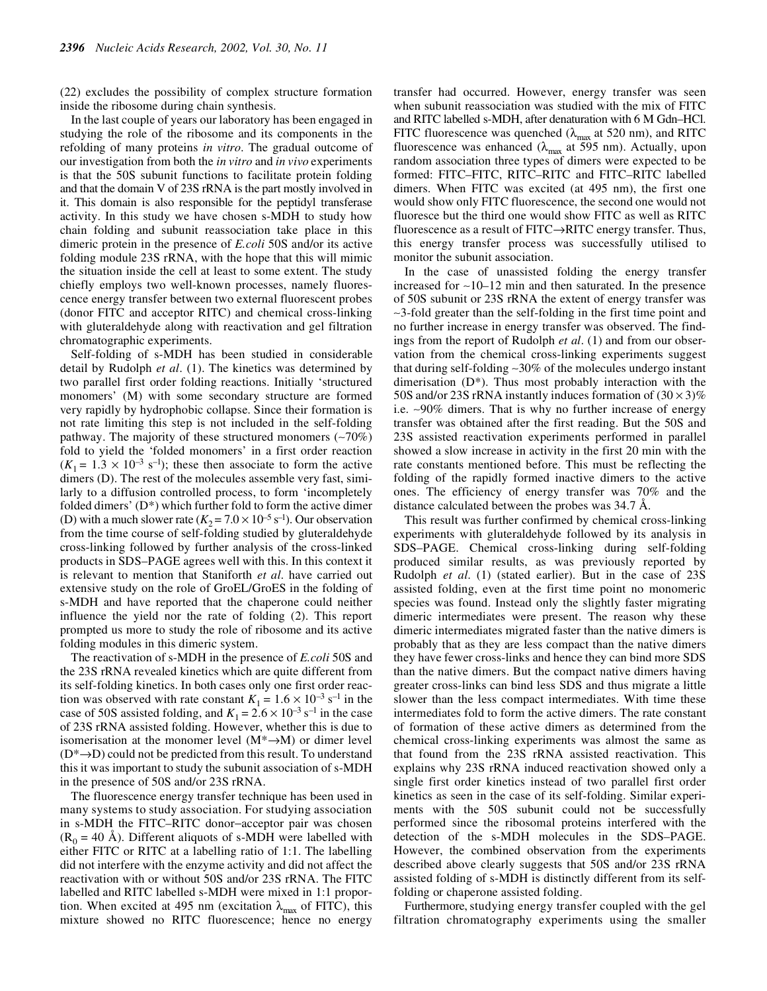(22) excludes the possibility of complex structure formation inside the ribosome during chain synthesis.

In the last couple of years our laboratory has been engaged in studying the role of the ribosome and its components in the refolding of many proteins *in vitro*. The gradual outcome of our investigation from both the *in vitro* and *in vivo* experiments is that the 50S subunit functions to facilitate protein folding and that the domain V of 23S rRNA is the part mostly involved in it. This domain is also responsible for the peptidyl transferase activity. In this study we have chosen s-MDH to study how chain folding and subunit reassociation take place in this dimeric protein in the presence of *E.coli* 50S and/or its active folding module 23S rRNA, with the hope that this will mimic the situation inside the cell at least to some extent. The study chiefly employs two well-known processes, namely fluorescence energy transfer between two external fluorescent probes (donor FITC and acceptor RITC) and chemical cross-linking with gluteraldehyde along with reactivation and gel filtration chromatographic experiments.

Self-folding of s-MDH has been studied in considerable detail by Rudolph *et al*. (1). The kinetics was determined by two parallel first order folding reactions. Initially 'structured monomers' (M) with some secondary structure are formed very rapidly by hydrophobic collapse. Since their formation is not rate limiting this step is not included in the self-folding pathway. The majority of these structured monomers (∼70%) fold to yield the 'folded monomers' in a first order reaction  $(K_1 = 1.3 \times 10^{-3} \text{ s}^{-1})$ ; these then associate to form the active dimers (D). The rest of the molecules assemble very fast, similarly to a diffusion controlled process, to form 'incompletely folded dimers' (D\*) which further fold to form the active dimer (D) with a much slower rate  $(K_2 = 7.0 \times 10^{-5} \text{ s}^{-1})$ . Our observation from the time course of self-folding studied by gluteraldehyde cross-linking followed by further analysis of the cross-linked products in SDS–PAGE agrees well with this. In this context it is relevant to mention that Staniforth *et al*. have carried out extensive study on the role of GroEL/GroES in the folding of s-MDH and have reported that the chaperone could neither influence the yield nor the rate of folding (2). This report prompted us more to study the role of ribosome and its active folding modules in this dimeric system.

The reactivation of s-MDH in the presence of *E.coli* 50S and the 23S rRNA revealed kinetics which are quite different from its self-folding kinetics. In both cases only one first order reaction was observed with rate constant  $K_1 = 1.6 \times 10^{-3}$  s<sup>-1</sup> in the case of 50S assisted folding, and  $K_1 = 2.6 \times 10^{-3} \text{ s}^{-1}$  in the case of 23S rRNA assisted folding. However, whether this is due to isomerisation at the monomer level  $(M^* \rightarrow M)$  or dimer level  $(D^* \rightarrow D)$  could not be predicted from this result. To understand this it was important to study the subunit association of s-MDH in the presence of 50S and/or 23S rRNA.

The fluorescence energy transfer technique has been used in many systems to study association. For studying association in s-MDH the FITC–RITC donor−acceptor pair was chosen  $(R_0 = 40 \text{ A})$ . Different aliquots of s-MDH were labelled with either FITC or RITC at a labelling ratio of 1:1. The labelling did not interfere with the enzyme activity and did not affect the reactivation with or without 50S and/or 23S rRNA. The FITC labelled and RITC labelled s-MDH were mixed in 1:1 proportion. When excited at 495 nm (excitation  $\lambda_{\text{max}}$  of FITC), this mixture showed no RITC fluorescence; hence no energy transfer had occurred. However, energy transfer was seen when subunit reassociation was studied with the mix of FITC and RITC labelled s-MDH, after denaturation with 6 M Gdn–HCl. FITC fluorescence was quenched ( $\lambda_{\text{max}}$  at 520 nm), and RITC fluorescence was enhanced ( $\lambda_{\text{max}}$  at 595 nm). Actually, upon random association three types of dimers were expected to be formed: FITC–FITC, RITC–RITC and FITC–RITC labelled dimers. When FITC was excited (at 495 nm), the first one would show only FITC fluorescence, the second one would not fluoresce but the third one would show FITC as well as RITC fluorescence as a result of FITC→RITC energy transfer. Thus, this energy transfer process was successfully utilised to monitor the subunit association.

In the case of unassisted folding the energy transfer increased for ∼10–12 min and then saturated. In the presence of 50S subunit or 23S rRNA the extent of energy transfer was ∼3-fold greater than the self-folding in the first time point and no further increase in energy transfer was observed. The findings from the report of Rudolph *et al*. (1) and from our observation from the chemical cross-linking experiments suggest that during self-folding ∼30% of the molecules undergo instant dimerisation  $(D^*)$ . Thus most probably interaction with the 50S and/or 23S rRNA instantly induces formation of  $(30 \times 3)\%$ i.e. ∼90% dimers. That is why no further increase of energy transfer was obtained after the first reading. But the 50S and 23S assisted reactivation experiments performed in parallel showed a slow increase in activity in the first 20 min with the rate constants mentioned before. This must be reflecting the folding of the rapidly formed inactive dimers to the active ones. The efficiency of energy transfer was 70% and the distance calculated between the probes was 34.7 Å.

This result was further confirmed by chemical cross-linking experiments with gluteraldehyde followed by its analysis in SDS–PAGE. Chemical cross-linking during self-folding produced similar results, as was previously reported by Rudolph *et al*. (1) (stated earlier). But in the case of 23S assisted folding, even at the first time point no monomeric species was found. Instead only the slightly faster migrating dimeric intermediates were present. The reason why these dimeric intermediates migrated faster than the native dimers is probably that as they are less compact than the native dimers they have fewer cross-links and hence they can bind more SDS than the native dimers. But the compact native dimers having greater cross-links can bind less SDS and thus migrate a little slower than the less compact intermediates. With time these intermediates fold to form the active dimers. The rate constant of formation of these active dimers as determined from the chemical cross-linking experiments was almost the same as that found from the 23S rRNA assisted reactivation. This explains why 23S rRNA induced reactivation showed only a single first order kinetics instead of two parallel first order kinetics as seen in the case of its self-folding. Similar experiments with the 50S subunit could not be successfully performed since the ribosomal proteins interfered with the detection of the s-MDH molecules in the SDS–PAGE. However, the combined observation from the experiments described above clearly suggests that 50S and/or 23S rRNA assisted folding of s-MDH is distinctly different from its selffolding or chaperone assisted folding.

Furthermore, studying energy transfer coupled with the gel filtration chromatography experiments using the smaller